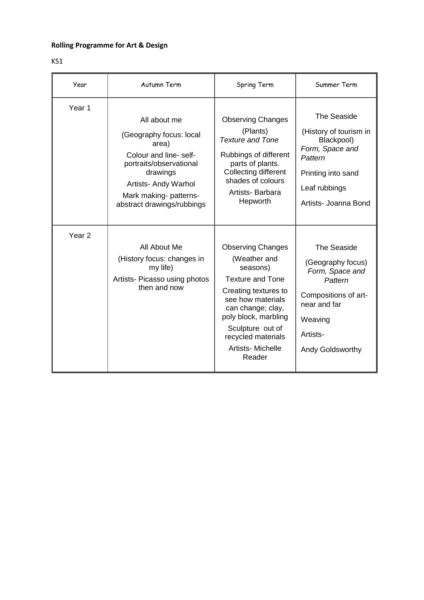## **Rolling Programme for Art & Design**

| ۰.<br>۰. |  |
|----------|--|
|----------|--|

| Year              | Autumn Term                                                                                                                                                                                      | Spring Term                                                                                                                                                                                                                                       | Summer Term                                                                                                                                              |
|-------------------|--------------------------------------------------------------------------------------------------------------------------------------------------------------------------------------------------|---------------------------------------------------------------------------------------------------------------------------------------------------------------------------------------------------------------------------------------------------|----------------------------------------------------------------------------------------------------------------------------------------------------------|
| Year <sub>1</sub> | All about me<br>(Geography focus: local<br>area)<br>Colour and line-self-<br>portraits/observational<br>drawings<br>Artists- Andy Warhol<br>Mark making- patterns-<br>abstract drawings/rubbings | <b>Observing Changes</b><br>(Plants)<br><b>Texture and Tone</b><br>Rubbings of different<br>parts of plants.<br>Collecting different<br>shades of colours<br>Artists-Barbara<br>Hepworth                                                          | The Seaside<br>(History of tourism in<br>Blackpool)<br>Form, Space and<br>Pattern<br>Printing into sand<br>Leaf rubbings<br>Artists- Joanna Bond         |
| Year <sub>2</sub> | All About Me<br>(History focus: changes in<br>my life)<br>Artists- Picasso using photos<br>then and now                                                                                          | <b>Observing Changes</b><br>(Weather and<br>seasons)<br><b>Texture and Tone</b><br>Creating textures to<br>see how materials<br>can change; clay,<br>poly block, marbling<br>Sculpture out of<br>recycled materials<br>Artists-Michelle<br>Reader | The Seaside<br>(Geography focus)<br>Form, Space and<br>Pattern<br>Compositions of art-<br>near and far<br>Weaving<br>Artists-<br><b>Andy Goldsworthy</b> |